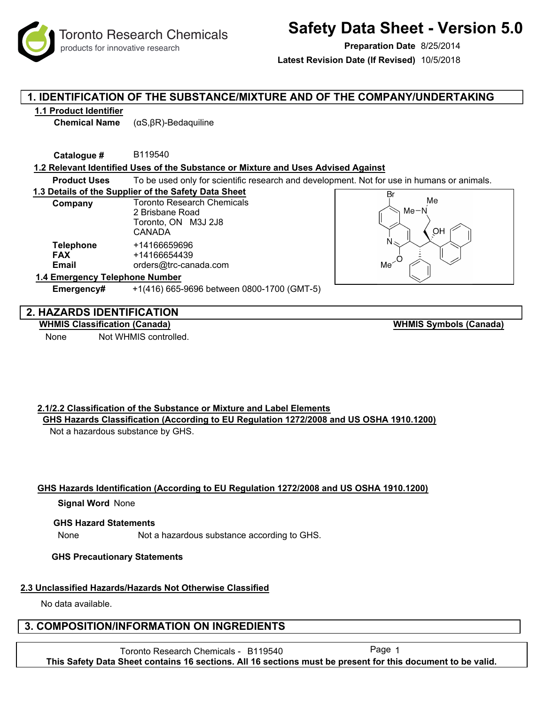Toronto Research Chemicals products for innovative research

# **Safety Data Sheet - Version 5.0**

**Preparation Date** 8/25/2014

**Latest Revision Date (If Revised)** 10/5/2018

## **1. IDENTIFICATION OF THE SUBSTANCE/MIXTURE AND OF THE COMPANY/UNDERTAKING**

#### **1.1 Product Identifier**

**Chemical Name** (αS,βR)-Bedaquiline

**Catalogue #** B119540

#### **1.2 Relevant Identified Uses of the Substance or Mixture and Uses Advised Against**

**Product Uses** To be used only for scientific research and development. Not for use in humans or animals.

**1.3 Details of the Supplier of the Safety Data Sheet**

| Company                        | <b>Toronto Research Chemicals</b> |
|--------------------------------|-----------------------------------|
|                                | 2 Brisbane Road                   |
|                                | Toronto, ON M3J 2J8               |
|                                | <b>CANADA</b>                     |
| <b>Telephone</b>               | +14166659696                      |
| <b>FAX</b>                     | +14166654439                      |
| Email                          | orders@trc-canada.com             |
| 1.4 Emergency Telephone Number |                                   |

**Emergency#** +1(416) 665-9696 between 0800-1700 (GMT-5)



## **2. HAZARDS IDENTIFICATION**

**WHMIS Classification (Canada)**

None Not WHMIS controlled.

**WHMIS Symbols (Canada)**

#### **2.1/2.2 Classification of the Substance or Mixture and Label Elements GHS Hazards Classification (According to EU Regulation 1272/2008 and US OSHA 1910.1200)**

Not a hazardous substance by GHS.

#### **GHS Hazards Identification (According to EU Regulation 1272/2008 and US OSHA 1910.1200)**

#### **Signal Word None**

#### **GHS Hazard Statements**

None Not a hazardous substance according to GHS.

#### **GHS Precautionary Statements**

## **2.3 Unclassified Hazards/Hazards Not Otherwise Classified**

No data available.

## **3. COMPOSITION/INFORMATION ON INGREDIENTS**

Toronto Research Chemicals - B119540 Page 1 **This Safety Data Sheet contains 16 sections. All 16 sections must be present for this document to be valid.**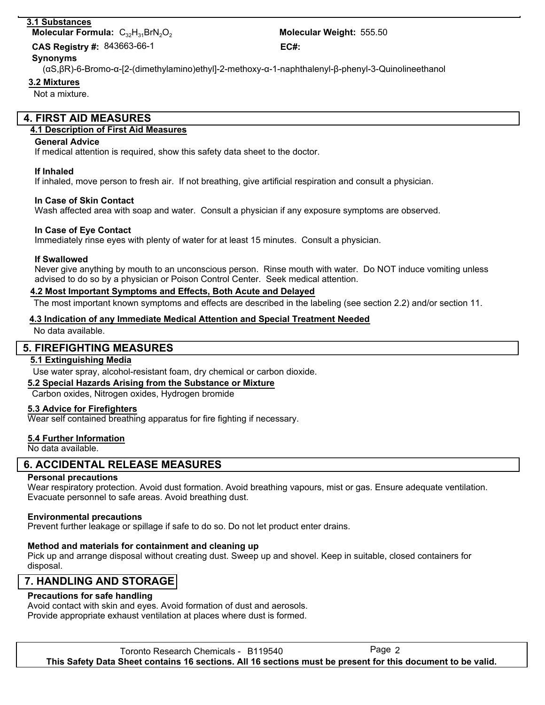#### **3.1 Substances**

**Molecular Formula:** C<sub>32</sub>H<sub>31</sub>BrN<sub>2</sub>O<sub>2</sub>

843663-66-1 **CAS Registry #: EC#:**

# Molecular Weight: 555.50

#### (αS,βR)-6-Bromo-α-[2-(dimethylamino)ethyl]-2-methoxy-α-1-naphthalenyl-β-phenyl-3-Quinolineethanol **Synonyms**

**3.2 Mixtures**

Not a mixture.

## **4. FIRST AID MEASURES**

### **4.1 Description of First Aid Measures**

#### **General Advice**

If medical attention is required, show this safety data sheet to the doctor.

#### **If Inhaled**

If inhaled, move person to fresh air. If not breathing, give artificial respiration and consult a physician.

#### **In Case of Skin Contact**

Wash affected area with soap and water. Consult a physician if any exposure symptoms are observed.

#### **In Case of Eye Contact**

Immediately rinse eyes with plenty of water for at least 15 minutes. Consult a physician.

#### **If Swallowed**

Never give anything by mouth to an unconscious person. Rinse mouth with water. Do NOT induce vomiting unless advised to do so by a physician or Poison Control Center. Seek medical attention.

#### **4.2 Most Important Symptoms and Effects, Both Acute and Delayed**

The most important known symptoms and effects are described in the labeling (see section 2.2) and/or section 11.

#### **4.3 Indication of any Immediate Medical Attention and Special Treatment Needed**

No data available.

## **5. FIREFIGHTING MEASURES**

#### **5.1 Extinguishing Media**

Use water spray, alcohol-resistant foam, dry chemical or carbon dioxide.

#### **5.2 Special Hazards Arising from the Substance or Mixture**

Carbon oxides, Nitrogen oxides, Hydrogen bromide

#### **5.3 Advice for Firefighters**

Wear self contained breathing apparatus for fire fighting if necessary.

## **5.4 Further Information**

No data available.

## **6. ACCIDENTAL RELEASE MEASURES**

## **Personal precautions**

Wear respiratory protection. Avoid dust formation. Avoid breathing vapours, mist or gas. Ensure adequate ventilation. Evacuate personnel to safe areas. Avoid breathing dust.

## **Environmental precautions**

Prevent further leakage or spillage if safe to do so. Do not let product enter drains.

## **Method and materials for containment and cleaning up**

Pick up and arrange disposal without creating dust. Sweep up and shovel. Keep in suitable, closed containers for disposal.

## **7. HANDLING AND STORAGE**

## **Precautions for safe handling**

Avoid contact with skin and eyes. Avoid formation of dust and aerosols. Provide appropriate exhaust ventilation at places where dust is formed.

Toronto Research Chemicals - B119540 **This Safety Data Sheet contains 16 sections. All 16 sections must be present for this document to be valid.**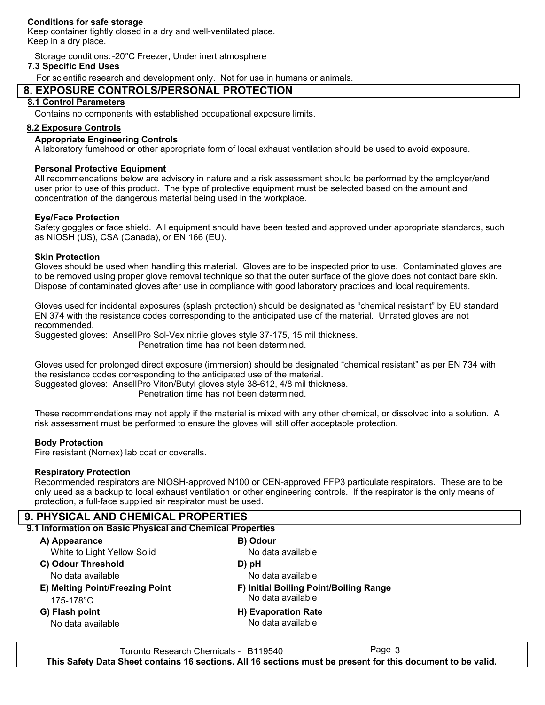#### **Conditions for safe storage**

Keep container tightly closed in a dry and well-ventilated place. Keep in a dry place.

Storage conditions:-20°C Freezer, Under inert atmosphere

#### **7.3 Specific End Uses**

For scientific research and development only. Not for use in humans or animals.

## **8. EXPOSURE CONTROLS/PERSONAL PROTECTION**

#### **8.1 Control Parameters**

Contains no components with established occupational exposure limits.

#### **8.2 Exposure Controls**

#### **Appropriate Engineering Controls**

A laboratory fumehood or other appropriate form of local exhaust ventilation should be used to avoid exposure.

#### **Personal Protective Equipment**

All recommendations below are advisory in nature and a risk assessment should be performed by the employer/end user prior to use of this product. The type of protective equipment must be selected based on the amount and concentration of the dangerous material being used in the workplace.

#### **Eye/Face Protection**

Safety goggles or face shield. All equipment should have been tested and approved under appropriate standards, such as NIOSH (US), CSA (Canada), or EN 166 (EU).

#### **Skin Protection**

Gloves should be used when handling this material. Gloves are to be inspected prior to use. Contaminated gloves are to be removed using proper glove removal technique so that the outer surface of the glove does not contact bare skin. Dispose of contaminated gloves after use in compliance with good laboratory practices and local requirements.

Gloves used for incidental exposures (splash protection) should be designated as "chemical resistant" by EU standard EN 374 with the resistance codes corresponding to the anticipated use of the material. Unrated gloves are not recommended.

Suggested gloves: AnsellPro Sol-Vex nitrile gloves style 37-175, 15 mil thickness.

Penetration time has not been determined.

Gloves used for prolonged direct exposure (immersion) should be designated "chemical resistant" as per EN 734 with the resistance codes corresponding to the anticipated use of the material. Suggested gloves: AnsellPro Viton/Butyl gloves style 38-612, 4/8 mil thickness.

Penetration time has not been determined.

These recommendations may not apply if the material is mixed with any other chemical, or dissolved into a solution. A risk assessment must be performed to ensure the gloves will still offer acceptable protection.

#### **Body Protection**

Fire resistant (Nomex) lab coat or coveralls.

#### **Respiratory Protection**

Recommended respirators are NIOSH-approved N100 or CEN-approved FFP3 particulate respirators. These are to be only used as a backup to local exhaust ventilation or other engineering controls. If the respirator is the only means of protection, a full-face supplied air respirator must be used.

#### **9. PHYSICAL AND CHEMICAL PROPERTIES 9.1 Information on Basic Physical and Chemical Properties A) Appearance B) Odour C) Odour Threshold D) pH E) Melting Point/Freezing Point F) Initial Boiling Point/Boiling Range G) Flash point H) Evaporation Rate** No data available No data available No data available No data available No data available No data available 175-178°C White to Light Yellow Solid

Toronto Research Chemicals - B119540 **This Safety Data Sheet contains 16 sections. All 16 sections must be present for this document to be valid.**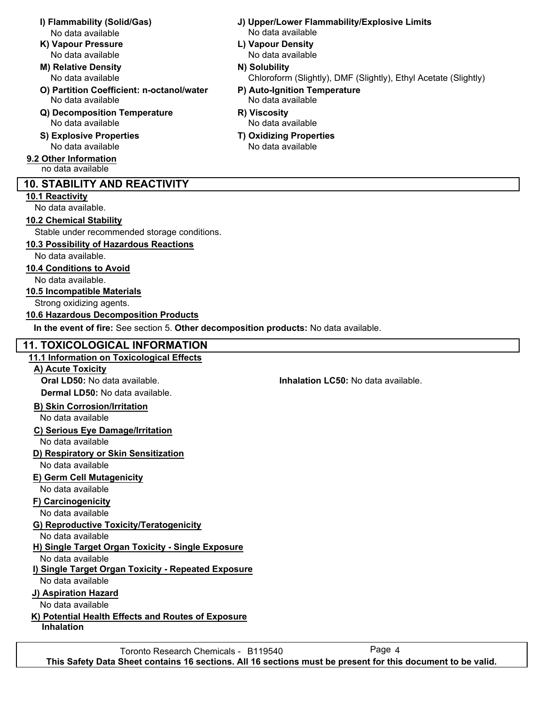- No data available No data available
- **K) Vapour Pressure L) Vapour Density**
- **M) Relative Density N) Solubility** No data available
- **O) Partition Coefficient: n-octanol/water P) Auto-Ignition Temperature** No data available No data available
- **Q) Decomposition Temperature R) Viscosity** No data available No data available
- **S) Explosive Properties T) Oxidizing Properties** No data available No data available
- **9.2 Other Information** no data available

## **10. STABILITY AND REACTIVITY**

## **10.1 Reactivity**

No data available.

#### **10.2 Chemical Stability**

Stable under recommended storage conditions.

## **10.3 Possibility of Hazardous Reactions**

No data available.

## **10.4 Conditions to Avoid**

No data available.

#### **10.5 Incompatible Materials**

Strong oxidizing agents.

#### **10.6 Hazardous Decomposition Products**

**In the event of fire:** See section 5. **Other decomposition products:** No data available.

## **11. TOXICOLOGICAL INFORMATION**

## **11.1 Information on Toxicological Effects**

## **A) Acute Toxicity**

**Oral LD50:** No data available. **Inhalation LC50:** No data available. **Dermal LD50:** No data available.

## **B) Skin Corrosion/Irritation**

No data available

## **C) Serious Eye Damage/Irritation**

No data available

## **D) Respiratory or Skin Sensitization**

No data available

## **E) Germ Cell Mutagenicity**

No data available

## **F) Carcinogenicity**

No data available

## **G) Reproductive Toxicity/Teratogenicity**

No data available

## **H) Single Target Organ Toxicity - Single Exposure**

No data available

## **I) Single Target Organ Toxicity - Repeated Exposure**

No data available

## **J) Aspiration Hazard**

No data available

## **K) Potential Health Effects and Routes of Exposure**

**Inhalation**

- **I) Flammability (Solid/Gas) J) Upper/Lower Flammability/Explosive Limits**
	- No data available No data available

Chloroform (Slightly), DMF (Slightly), Ethyl Acetate (Slightly)

- -
-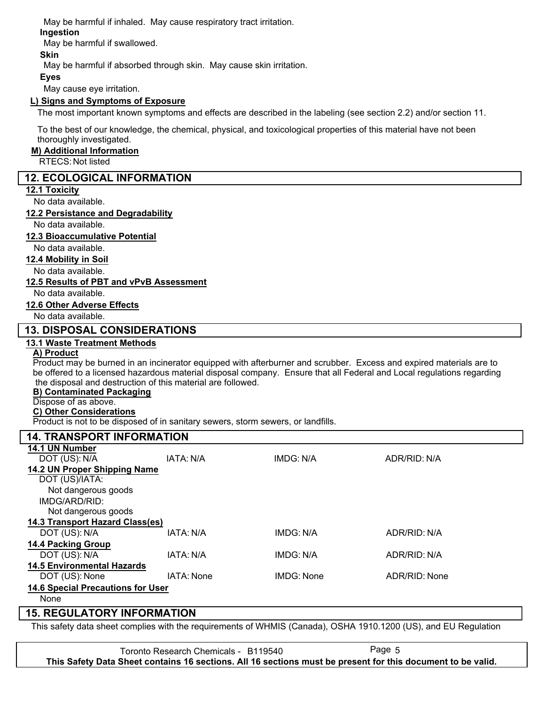May be harmful if inhaled. May cause respiratory tract irritation.

### **Ingestion**

May be harmful if swallowed.

### **Skin**

May be harmful if absorbed through skin. May cause skin irritation.

#### **Eyes**

May cause eye irritation.

#### **L) Signs and Symptoms of Exposure**

The most important known symptoms and effects are described in the labeling (see section 2.2) and/or section 11.

To the best of our knowledge, the chemical, physical, and toxicological properties of this material have not been thoroughly investigated.

#### **M) Additional Information**

RTECS: Not listed

#### **12. ECOLOGICAL INFORMATION**

#### **12.1 Toxicity**

No data available.

#### **12.2 Persistance and Degradability**

No data available.

#### **12.3 Bioaccumulative Potential**

No data available.

#### **12.4 Mobility in Soil**

No data available.

#### **12.5 Results of PBT and vPvB Assessment**

No data available.

#### **12.6 Other Adverse Effects**

No data available.

## **13. DISPOSAL CONSIDERATIONS**

#### **13.1 Waste Treatment Methods**

## **A) Product**

Product may be burned in an incinerator equipped with afterburner and scrubber. Excess and expired materials are to be offered to a licensed hazardous material disposal company. Ensure that all Federal and Local regulations regarding the disposal and destruction of this material are followed.

#### **B) Contaminated Packaging**

## Dispose of as above.

**C) Other Considerations**

Product is not to be disposed of in sanitary sewers, storm sewers, or landfills.

| <b>14. TRANSPORT INFORMATION</b>         |            |                  |               |
|------------------------------------------|------------|------------------|---------------|
| 14.1 UN Number                           |            |                  |               |
| DOT (US): N/A                            | IATA: N/A  | <b>IMDG: N/A</b> | ADR/RID: N/A  |
| 14.2 UN Proper Shipping Name             |            |                  |               |
| DOT (US)/IATA:                           |            |                  |               |
| Not dangerous goods                      |            |                  |               |
| IMDG/ARD/RID:                            |            |                  |               |
| Not dangerous goods                      |            |                  |               |
| 14.3 Transport Hazard Class(es)          |            |                  |               |
| DOT (US): N/A                            | IATA: N/A  | IMDG: N/A        | ADR/RID: N/A  |
| <b>14.4 Packing Group</b>                |            |                  |               |
| DOT (US): N/A                            | IATA: N/A  | IMDG: N/A        | ADR/RID: N/A  |
| <b>14.5 Environmental Hazards</b>        |            |                  |               |
| DOT (US): None                           | IATA: None | IMDG: None       | ADR/RID: None |
| <b>14.6 Special Precautions for User</b> |            |                  |               |
| None                                     |            |                  |               |

## **15. REGULATORY INFORMATION**

This safety data sheet complies with the requirements of WHMIS (Canada), OSHA 1910.1200 (US), and EU Regulation

Toronto Research Chemicals - B119540 **This Safety Data Sheet contains 16 sections. All 16 sections must be present for this document to be valid.**